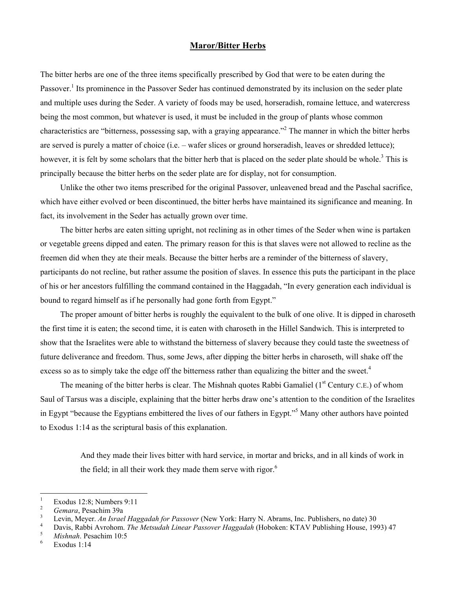## **Maror/Bitter Herbs**

The bitter herbs are one of the three items specifically prescribed by God that were to be eaten during the Passover.<sup>1</sup>Its prominence in the Passover Seder has continued demonstrated by its inclusion on the seder plate and multiple uses during the Seder. A variety of foods may be used, horseradish, romaine lettuce, and watercress being the most common, but whatever is used, it must be included in the group of plants whose common characteristics are "bitterness, possessing sap, with a graying appearance."<sup>[2](#page-0-1)</sup> The manner in which the bitter herbs are served is purely a matter of choice (i.e. – wafer slices or ground horseradish, leaves or shredded lettuce); however, it is felt by some scholars that the bitter herb that is placed on the seder plate should be whole.<sup>[3](#page-0-2)</sup> This is principally because the bitter herbs on the seder plate are for display, not for consumption.

Unlike the other two items prescribed for the original Passover, unleavened bread and the Paschal sacrifice, which have either evolved or been discontinued, the bitter herbs have maintained its significance and meaning. In fact, its involvement in the Seder has actually grown over time.

The bitter herbs are eaten sitting upright, not reclining as in other times of the Seder when wine is partaken or vegetable greens dipped and eaten. The primary reason for this is that slaves were not allowed to recline as the freemen did when they ate their meals. Because the bitter herbs are a reminder of the bitterness of slavery, participants do not recline, but rather assume the position of slaves. In essence this puts the participant in the place of his or her ancestors fulfilling the command contained in the Haggadah, "In every generation each individual is bound to regard himself as if he personally had gone forth from Egypt."

The proper amount of bitter herbs is roughly the equivalent to the bulk of one olive. It is dipped in charoseth the first time it is eaten; the second time, it is eaten with charoseth in the Hillel Sandwich. This is interpreted to show that the Israelites were able to withstand the bitterness of slavery because they could taste the sweetness of future deliverance and freedom. Thus, some Jews, after dipping the bitter herbs in charoseth, will shake off the excess so as to simply take the edge off the bitterness rather than equalizing the bitter and the sweet.<sup>[4](#page-0-3)</sup>

The meaning of the bitter herbs is clear. The Mishnah quotes Rabbi Gamaliel (1<sup>st</sup> Century C.E.) of whom Saul of Tarsus was a disciple, explaining that the bitter herbs draw one's attention to the condition of the Israelites in Egypt "because the Egyptians embittered the lives of our fathers in Egypt."<sup>[5](#page-0-4)</sup> Many other authors have pointed to Exodus 1:14 as the scriptural basis of this explanation.

> And they made their lives bitter with hard service, in mortar and bricks, and in all kinds of work in the field; in all their work they made them serve with rigor. $<sup>6</sup>$  $<sup>6</sup>$  $<sup>6</sup>$ </sup>

 $\frac{1}{1}$ Exodus 12:8; Numbers 9:11

<span id="page-0-1"></span><span id="page-0-0"></span><sup>2</sup>  $\frac{2}{3}$  *Gemara*, Pesachim 39a

<span id="page-0-2"></span><sup>&</sup>lt;sup>3</sup> Levin, Meyer. *An Israel Haggadah for Passover* (New York: Harry N. Abrams, Inc. Publishers, no date) 30<br><sup>4</sup> Devis Publishers, <sup>Th</sup>e Matter of L. L. L. L. L. L. L. L. L. (Urkelang KTAV Publishing Urges, 19

<span id="page-0-3"></span><sup>&</sup>lt;sup>4</sup> Davis, Rabbi Avrohom. *The Metsudah Linear Passover Haggadah* (Hoboken: KTAV Publishing House, 1993) 47

<span id="page-0-4"></span><sup>&</sup>lt;sup>5</sup> Mishnah. Pesachim 10:5

<span id="page-0-5"></span>Exodus 1:14